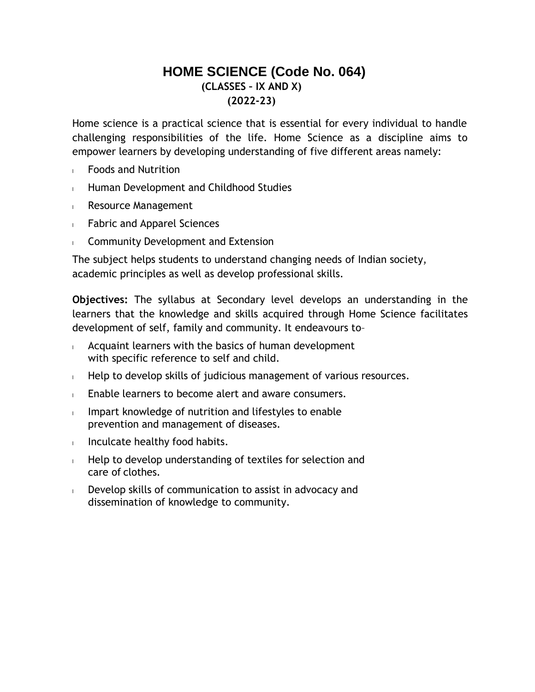# **HOME SCIENCE (Code No. 064) (CLASSES – IX AND X) (2022-23)**

Home science is a practical science that is essential for every individual to handle challenging responsibilities of the life. Home Science as a discipline aims to empower learners by developing understanding of five different areas namely:

- <sup>l</sup> Foods and Nutrition
- **Human Development and Childhood Studies**
- <sup>l</sup> Resource Management
- <sup>l</sup> Fabric and Apparel Sciences
- **Community Development and Extension**

The subject helps students to understand changing needs of Indian society, academic principles as well as develop professional skills.

**Objectives:** The syllabus at Secondary level develops an understanding in the learners that the knowledge and skills acquired through Home Science facilitates development of self, family and community. It endeavours to–

- $\blacksquare$  Acquaint learners with the basics of human development with specific reference to self and child.
- $\blacksquare$  Help to develop skills of judicious management of various resources.
- $\blacksquare$  Enable learners to become alert and aware consumers.
- Impart knowledge of nutrition and lifestyles to enable prevention and management of diseases.
- Inculcate healthy food habits.
- $\mathsf{H}$  Help to develop understanding of textiles for selection and care of clothes.
- $\Box$  Develop skills of communication to assist in advocacy and dissemination of knowledge to community.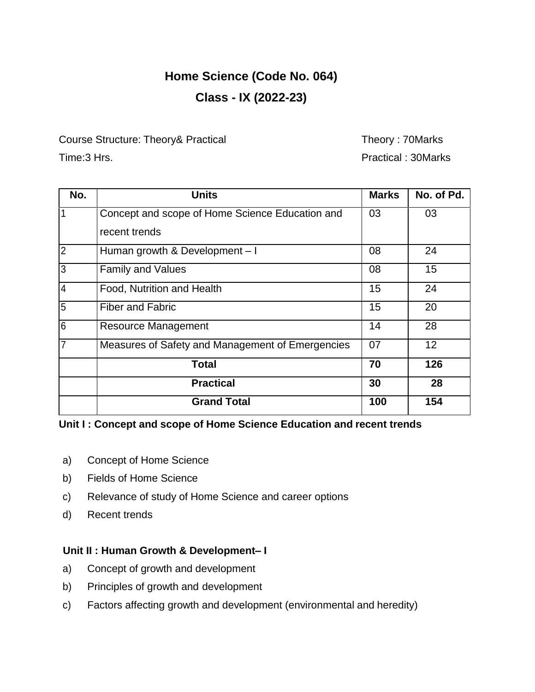# **Home Science (Code No. 064) Class - IX (2022-23)**

Course Structure: Theory& Practical Theory : 70Marks

Time:3 Hrs. **Practical : 30Marks** 

| No.            | <b>Units</b>                                     | <b>Marks</b> | No. of Pd.      |
|----------------|--------------------------------------------------|--------------|-----------------|
|                | Concept and scope of Home Science Education and  | 03           | 03              |
|                | recent trends                                    |              |                 |
| $\overline{2}$ | Human growth & Development - I                   | 08           | 24              |
| $\overline{3}$ | <b>Family and Values</b>                         | 08           | 15              |
| $\overline{4}$ | Food, Nutrition and Health                       | 15           | 24              |
| $\overline{5}$ | <b>Fiber and Fabric</b>                          | 15           | 20              |
| 6              | <b>Resource Management</b>                       | 14           | 28              |
| $\overline{7}$ | Measures of Safety and Management of Emergencies | 07           | 12 <sup>2</sup> |
|                | <b>Total</b>                                     | 70           | 126             |
|                | <b>Practical</b>                                 | 30           | 28              |
|                | <b>Grand Total</b>                               | 100          | 154             |

# **Unit I : Concept and scope of Home Science Education and recent trends**

- a) Concept of Home Science
- b) Fields of Home Science
- c) Relevance of study of Home Science and career options
- d) Recent trends

# **Unit II : Human Growth & Development– I**

- a) Concept of growth and development
- b) Principles of growth and development
- c) Factors affecting growth and development (environmental and heredity)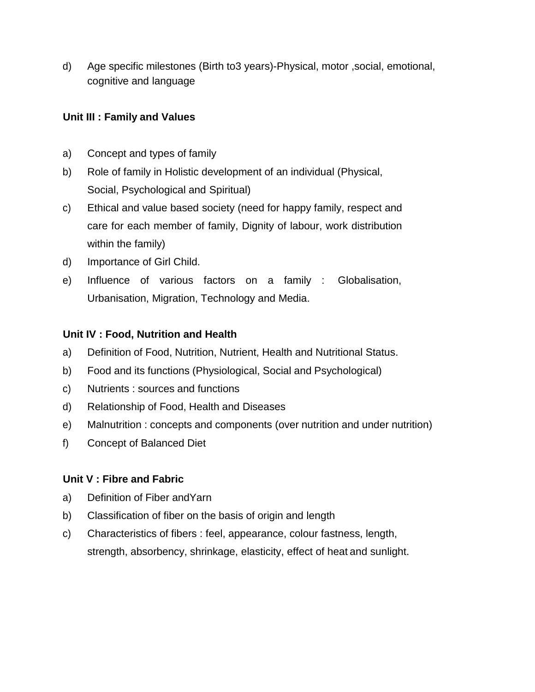d) Age specific milestones (Birth to3 years)-Physical, motor ,social, emotional, cognitive and language

# **Unit III : Family and Values**

- a) Concept and types of family
- b) Role of family in Holistic development of an individual (Physical, Social, Psychological and Spiritual)
- c) Ethical and value based society (need for happy family, respect and care for each member of family, Dignity of labour, work distribution within the family)
- d) Importance of Girl Child.
- e) Influence of various factors on a family : Globalisation, Urbanisation, Migration, Technology and Media.

# **Unit IV : Food, Nutrition and Health**

- a) Definition of Food, Nutrition, Nutrient, Health and Nutritional Status.
- b) Food and its functions (Physiological, Social and Psychological)
- c) Nutrients : sources and functions
- d) Relationship of Food, Health and Diseases
- e) Malnutrition : concepts and components (over nutrition and under nutrition)
- f) Concept of Balanced Diet

# **Unit V : Fibre and Fabric**

- a) Definition of Fiber andYarn
- b) Classification of fiber on the basis of origin and length
- c) Characteristics of fibers : feel, appearance, colour fastness, length, strength, absorbency, shrinkage, elasticity, effect of heat and sunlight.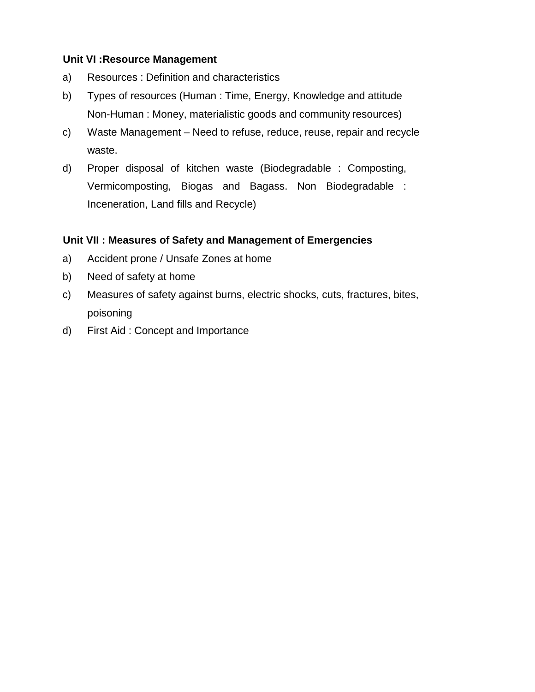### **Unit VI :Resource Management**

- a) Resources : Definition and characteristics
- b) Types of resources (Human : Time, Energy, Knowledge and attitude Non-Human : Money, materialistic goods and community resources)
- c) Waste Management Need to refuse, reduce, reuse, repair and recycle waste.
- d) Proper disposal of kitchen waste (Biodegradable : Composting, Vermicomposting, Biogas and Bagass. Non Biodegradable : Inceneration, Land fills and Recycle)

### **Unit VII : Measures of Safety and Management of Emergencies**

- a) Accident prone / Unsafe Zones at home
- b) Need of safety at home
- c) Measures of safety against burns, electric shocks, cuts, fractures, bites, poisoning
- d) First Aid : Concept and Importance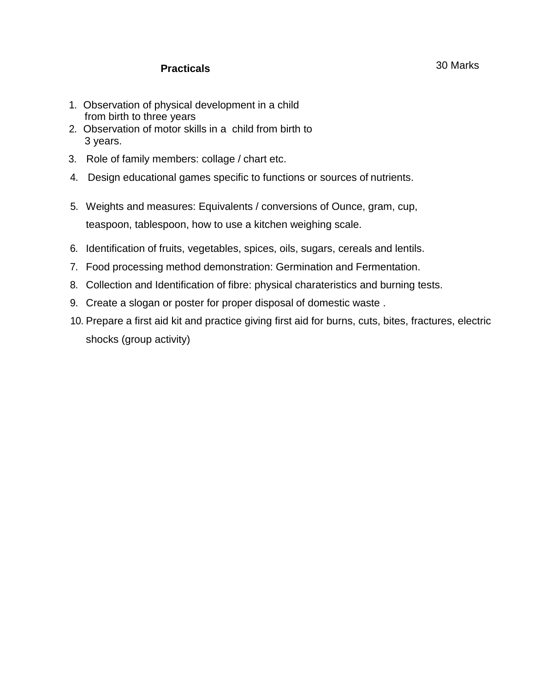### **Practicals**

- 1. Observation of physical development in a child from birth to three years
- 2. Observation of motor skills in a child from birth to 3 years.
- 3. Role of family members: collage / chart etc.
- 4. Design educational games specific to functions or sources of nutrients.
- 5. Weights and measures: Equivalents / conversions of Ounce, gram, cup, teaspoon, tablespoon, how to use a kitchen weighing scale.
- 6. Identification of fruits, vegetables, spices, oils, sugars, cereals and lentils.
- 7. Food processing method demonstration: Germination and Fermentation.
- 8. Collection and Identification of fibre: physical charateristics and burning tests.
- 9. Create a slogan or poster for proper disposal of domestic waste .
- 10. Prepare a first aid kit and practice giving first aid for burns, cuts, bites, fractures, electric shocks (group activity)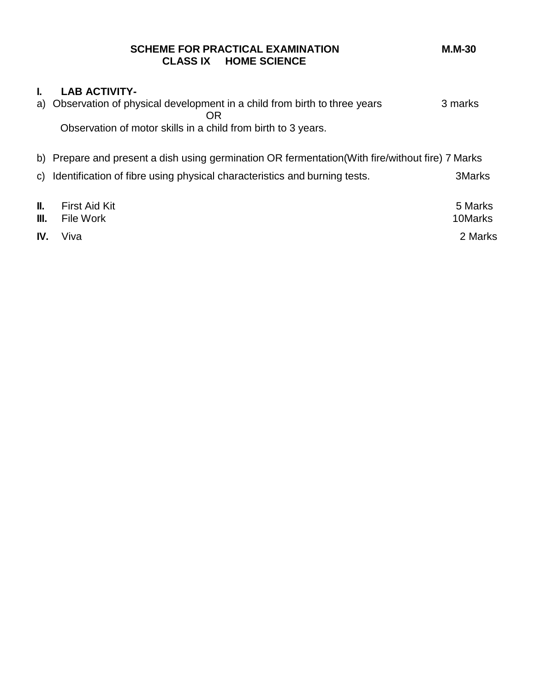|     | <b>SCHEME FOR PRACTICAL EXAMINATION</b><br><b>CLASS IX HOME SCIENCE</b>                          | $M.M-30$      |
|-----|--------------------------------------------------------------------------------------------------|---------------|
| L.  | <b>LAB ACTIVITY-</b>                                                                             |               |
|     | a) Observation of physical development in a child from birth to three years<br>OR                | 3 marks       |
|     | Observation of motor skills in a child from birth to 3 years.                                    |               |
|     | b) Prepare and present a dish using germination OR fermentation (With fire/without fire) 7 Marks |               |
|     | c) Identification of fibre using physical characteristics and burning tests.                     | <b>3Marks</b> |
| II. | <b>First Aid Kit</b>                                                                             | 5 Marks       |
| Ш.  | File Work                                                                                        | 10Marks       |

**IV.** Viva 2 Marks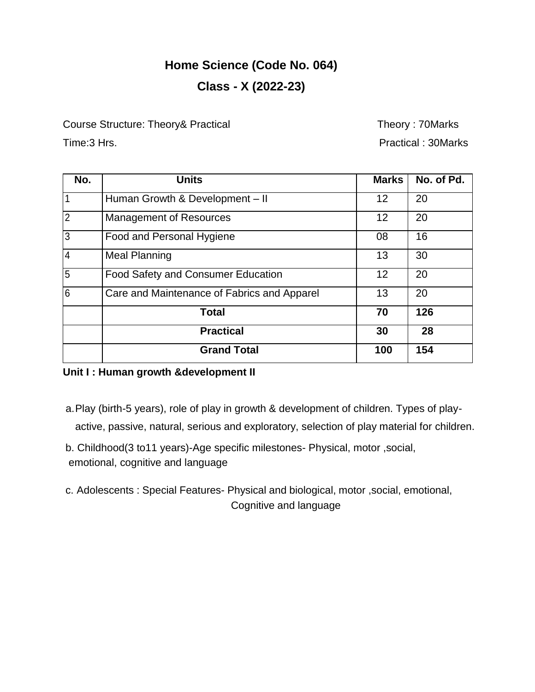# **Home Science (Code No. 064) Class - X (2022-23)**

Course Structure: Theory& Practical Theory : 70Marks

Time:3 Hrs. Practical : 30Marks

| No.            | <b>Units</b>                                | <b>Marks</b>      | No. of Pd. |
|----------------|---------------------------------------------|-------------------|------------|
|                | Human Growth & Development - II             | 12                | 20         |
| $\overline{2}$ | <b>Management of Resources</b>              | $12 \overline{ }$ | 20         |
| l3             | Food and Personal Hygiene                   | 08                | 16         |
| l4             | <b>Meal Planning</b>                        | 13                | 30         |
| 5              | <b>Food Safety and Consumer Education</b>   | 12                | 20         |
| l6             | Care and Maintenance of Fabrics and Apparel | 13                | 20         |
|                | <b>Total</b>                                | 70                | 126        |
|                | <b>Practical</b>                            | 30                | 28         |
|                | <b>Grand Total</b>                          | 100               | 154        |

# **Unit I : Human growth &development II**

- a.Play (birth-5 years), role of play in growth & development of children. Types of playactive, passive, natural, serious and exploratory, selection of play material for children.
- b. Childhood(3 to11 years)-Age specific milestones- Physical, motor ,social, emotional, cognitive and language
- c. Adolescents : Special Features- Physical and biological, motor ,social, emotional, Cognitive and language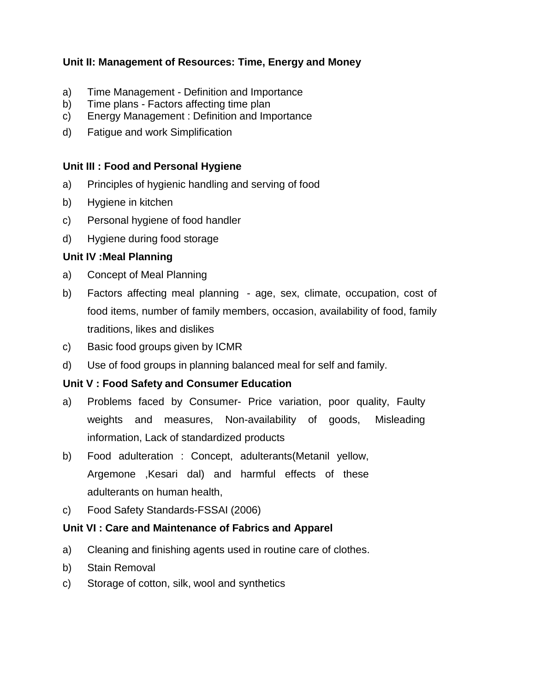# **Unit II: Management of Resources: Time, Energy and Money**

- a) Time Management Definition and Importance
- b) Time plans Factors affecting time plan
- c) Energy Management : Definition and Importance
- d) Fatigue and work Simplification

### **Unit III : Food and Personal Hygiene**

- a) Principles of hygienic handling and serving of food
- b) Hygiene in kitchen
- c) Personal hygiene of food handler
- d) Hygiene during food storage

### **Unit IV :Meal Planning**

- a) Concept of Meal Planning
- b) Factors affecting meal planning age, sex, climate, occupation, cost of food items, number of family members, occasion, availability of food, family traditions, likes and dislikes
- c) Basic food groups given by ICMR
- d) Use of food groups in planning balanced meal for self and family.

# **Unit V : Food Safety and Consumer Education**

- a) Problems faced by Consumer- Price variation, poor quality, Faulty weights and measures, Non-availability of goods, Misleading information, Lack of standardized products
- b) Food adulteration : Concept, adulterants(Metanil yellow, Argemone ,Kesari dal) and harmful effects of these adulterants on human health,
- c) Food Safety Standards-FSSAI (2006)

# **Unit VI : Care and Maintenance of Fabrics and Apparel**

- a) Cleaning and finishing agents used in routine care of clothes.
- b) Stain Removal
- c) Storage of cotton, silk, wool and synthetics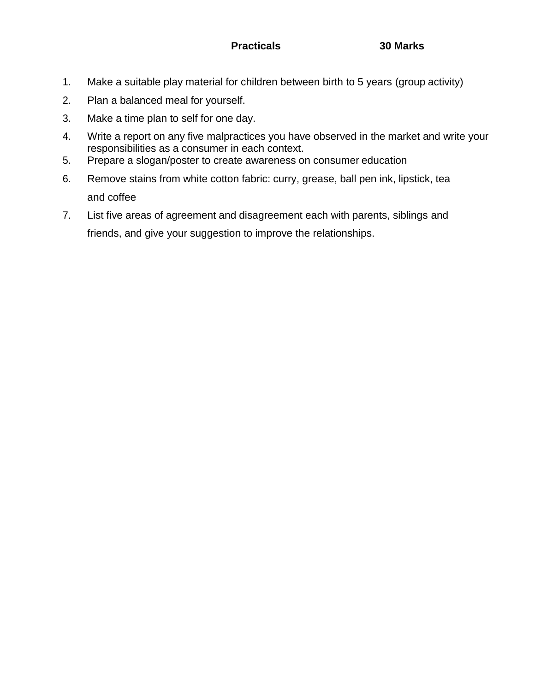- 1. Make a suitable play material for children between birth to 5 years (group activity)
- 2. Plan a balanced meal for yourself.
- 3. Make a time plan to self for one day.
- 4. Write a report on any five malpractices you have observed in the market and write your responsibilities as a consumer in each context.
- 5. Prepare a slogan/poster to create awareness on consumer education
- 6. Remove stains from white cotton fabric: curry, grease, ball pen ink, lipstick, tea and coffee
- 7. List five areas of agreement and disagreement each with parents, siblings and friends, and give your suggestion to improve the relationships.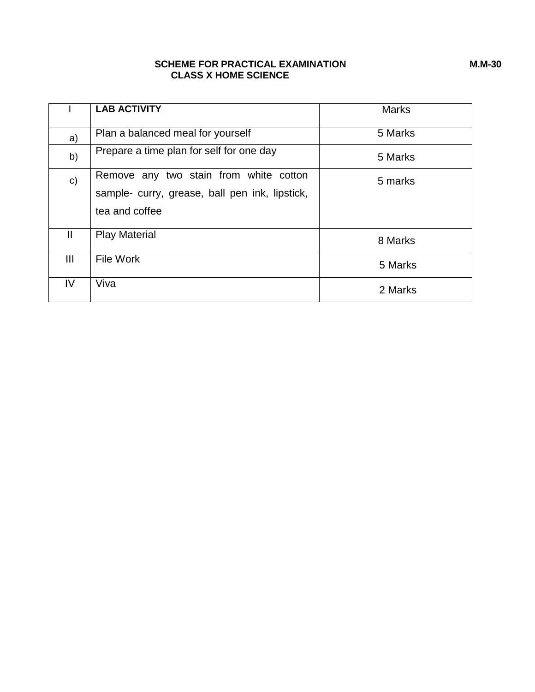#### **SCHEME FOR PRACTICAL EXAMINATION M.M-30 CLASS X HOME SCIENCE**

|                | <b>LAB ACTIVITY</b>                                                                                        | <b>Marks</b> |
|----------------|------------------------------------------------------------------------------------------------------------|--------------|
| a)             | Plan a balanced meal for yourself                                                                          | 5 Marks      |
| b)             | Prepare a time plan for self for one day                                                                   | 5 Marks      |
| $\mathsf{c})$  | Remove any two stain from white cotton<br>sample- curry, grease, ball pen ink, lipstick,<br>tea and coffee | 5 marks      |
| $\mathbf{II}$  | <b>Play Material</b>                                                                                       | 8 Marks      |
| $\mathbf{III}$ | File Work                                                                                                  | 5 Marks      |
| IV             | Viva                                                                                                       | 2 Marks      |